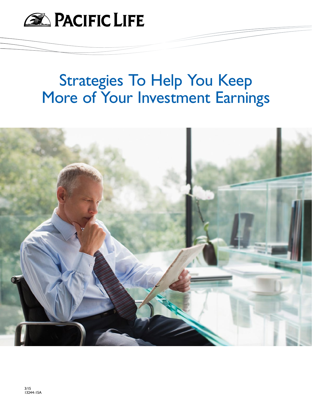

# Strategies To Help You Keep More of Your Investment Earnings

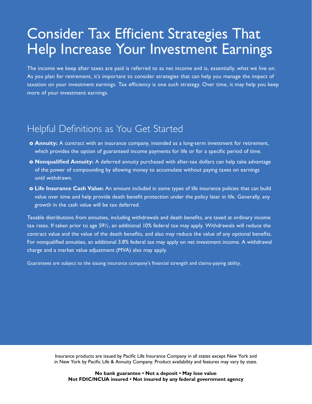## Consider Tax Efficient Strategies That Help Increase Your Investment Earnings

The income we keep after taxes are paid is referred to as net income and is, essentially, what we live on. As you plan for retirement, it's important to consider strategies that can help you manage the impact of taxation on your investment earnings. Tax efficiency is one such strategy. Over time, it may help you keep more of your investment earnings.

### Helpful Definitions as You Get Started

- **o** Annuity: A contract with an insurance company, intended as a long-term investment for retirement, which provides the option of guaranteed income payments for life or for a specific period of time.
- **o Nonqualified Annuity:** A deferred annuity purchased with after-tax dollars can help take advantage of the power of compounding by allowing money to accumulate without paying taxes on earnings until withdrawn.
- **o Life Insurance Cash Value:** An amount included in some types of life insurance policies that can build value over time and help provide death benefit protection under the policy later in life. Generally, any growth in the cash value will be tax deferred.

Taxable distributions from annuities, including withdrawals and death benefits, are taxed at ordinary income tax rates. If taken prior to age 59½, an additional 10% federal tax may apply. Withdrawals will reduce the contract value and the value of the death benefits, and also may reduce the value of any optional benefits. For nonqualified annuities, an additional 3.8% federal tax may apply on net investment income. A withdrawal charge and a market value adjustment (MVA) also may apply.

Guarantees are subject to the issuing insurance company's financial strength and claims-paying ability.

Insurance products are issued by Pacific Life Insurance Company in all states except New York and in New York by Pacific Life & Annuity Company. Product availability and features may vary by state.

**No bank guarantee • Not a deposit • May lose value Not FDIC/NCUA insured • Not insured by any federal government agency**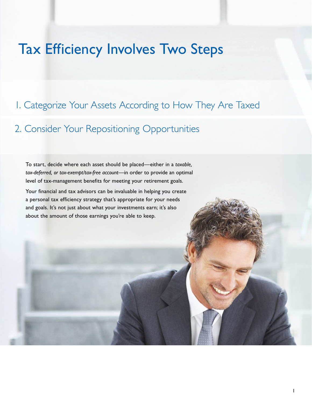## Tax Efficiency Involves Two Steps

### 1. Categorize Your Assets According to How They Are Taxed

### 2. Consider Your Repositioning Opportunities

To start, decide where each asset should be placed—either in a *taxable, tax-deferred, or tax-exempt/tax-free account*—in order to provide an optimal level of tax-management benefits for meeting your retirement goals.

Your financial and tax advisors can be invaluable in helping you create a personal tax efficiency strategy that's appropriate for your needs and goals. It's not just about what your investments earn; it's also about the amount of those earnings you're able to keep.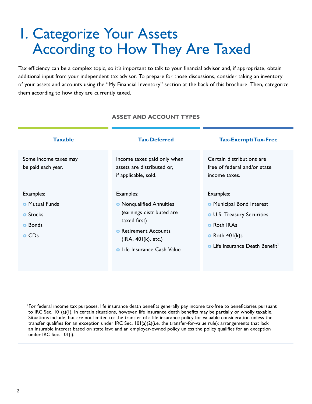# 1. Categorize Your Assets According to How They Are Taxed

Tax efficiency can be a complex topic, so it's important to talk to your financial advisor and, if appropriate, obtain additional input from your independent tax advisor. To prepare for those discussions, consider taking an inventory of your assets and accounts using the "My Financial Inventory" section at the back of this brochure. Then, categorize them according to how they are currently taxed.

#### **Taxable Tax-Deferred Tax-Exempt/Tax-Free** Some income taxes may be paid each year. Examples: **o** Mutual Funds **o** Stocks **o** Bonds **o** CDs Income taxes paid only when assets are distributed or, if applicable, sold. Examples: **o** Nonqualified Annuities (earnings distributed are taxed first) **o** Retirement Accounts (IRA, 401(k), etc.) **o** Life Insurance Cash Value Certain distributions are free of federal and/or state income taxes. Examples: **o** Municipal Bond Interest **o** U.S. Treasury Securities **o** Roth IRAs **o** Roth 401(k)s **o** Life Insurance Death Benefit<sup>1</sup>

#### **ASSET AND ACCOUNT TYPES**

<sup>1</sup>For federal income tax purposes, life insurance death benefits generally pay income tax-free to beneficiaries pursuant to IRC Sec. 101(a)(1). In certain situations, however, life insurance death benefits may be partially or wholly taxable. Situations include, but are not limited to: the transfer of a life insurance policy for valuable consideration unless the transfer qualifies for an exception under IRC Sec. 101(a)(2)(i.e. the transfer-for-value rule); arrangements that lack an insurable interest based on state law; and an employer-owned policy unless the policy qualifies for an exception under IRC Sec. 101(j).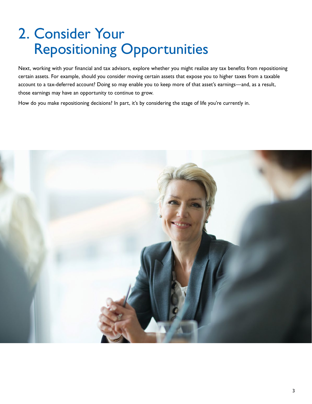# 2. Consider Your Repositioning Opportunities

Next, working with your financial and tax advisors, explore whether you might realize any tax benefits from repositioning certain assets. For example, should you consider moving certain assets that expose you to higher taxes from a taxable account to a tax-deferred account? Doing so may enable you to keep more of that asset's earnings—and, as a result, those earnings may have an opportunity to continue to grow.

How do you make repositioning decisions? In part, it's by considering the stage of life you're currently in.

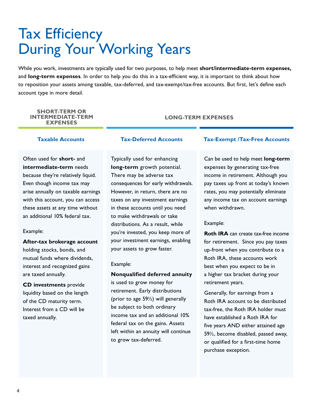# Tax Efficiency During Your Working Years

While you work, investments are typically used for two purposes, to help meet **short/intermediate-term expenses,**  and **long-term expenses**. In order to help you do this in a tax-efficient way, it is important to think about how to reposition your assets among taxable, tax-deferred, and tax-exempt/tax-free accounts. But first, let's define each account type in more detail.

#### **SHORT-TERM OR INTERMEDIATE-TERM EXPENSES**

### **LONG-TERM EXPENSES**

Often used for **short-** and **intermediate-term** needs because they're relatively liquid. Even though income tax may arise annually on taxable earnings with this account, you can access these assets at any time without an additional 10% federal tax.

#### Example:

**After-tax brokerage account**  holding stocks, bonds, and mutual funds where dividends, interest and recognized gains are taxed annually.

**CD investments** provide liquidity based on the length of the CD maturity term. Interest from a CD will be taxed annually.

Typically used for enhancing **long-term** growth potential. There may be adverse tax consequences for early withdrawals. However, in return, there are no taxes on any investment earnings in these accounts until you need to make withdrawals or take distributions. As a result, while you're invested, you keep more of your investment earnings, enabling your assets to grow faster.

#### Example:

#### **Nonqualified deferred annuity**

is used to grow money for retirement. Early distributions (prior to age 59½) will generally be subject to both ordinary income tax and an additional 10% federal tax on the gains. Assets left within an annuity will continue to grow tax-deferred.

#### **Taxable Accounts Tax-Deferred Accounts Tax-Exempt /Tax-Free Accounts**

Can be used to help meet **long-term** expenses by generating tax-free income in retirement. Although you pay taxes up front at today's known rates, you may potentially eliminate any income tax on account earnings when withdrawn.

#### Example:

**Roth IRA** can create tax-free income for retirement. Since you pay taxes up-front when you contribute to a Roth IRA, these accounts work best when you expect to be in a higher tax bracket during your retirement years.

Generally, for earnings from a Roth IRA account to be distributed tax-free, the Roth IRA holder must have established a Roth IRA for five years AND either attained age 59½, become disabled, passed away, or qualified for a first-time home purchase exception.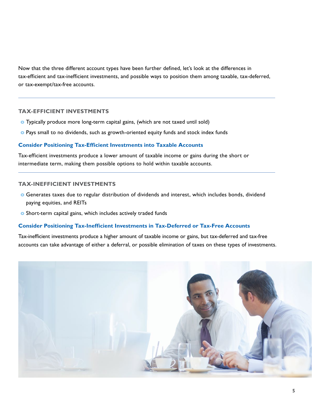Now that the three different account types have been further defined, let's look at the differences in tax-efficient and tax-inefficient investments, and possible ways to position them among taxable, tax-deferred, or tax-exempt/tax-free accounts.

#### **TAX-EFFICIENT INVESTMENTS**

- **o** Typically produce more long-term capital gains, (which are not taxed until sold)
- **o** Pays small to no dividends, such as growth-oriented equity funds and stock index funds

#### **Consider Positioning Tax-Efficient Investments into Taxable Accounts**

Tax-efficient investments produce a lower amount of taxable income or gains during the short or intermediate term, making them possible options to hold within taxable accounts.

#### **TAX-INEFFICIENT INVESTMENTS**

- **o** Generates taxes due to regular distribution of dividends and interest, which includes bonds, dividend paying equities, and REITs
- **o** Short-term capital gains, which includes actively traded funds

#### **Consider Positioning Tax-Inefficient Investments in Tax-Deferred or Tax-Free Accounts**

Tax-inefficient investments produce a higher amount of taxable income or gains, but tax-deferred and tax-free accounts can take advantage of either a deferral, or possible elimination of taxes on these types of investments.

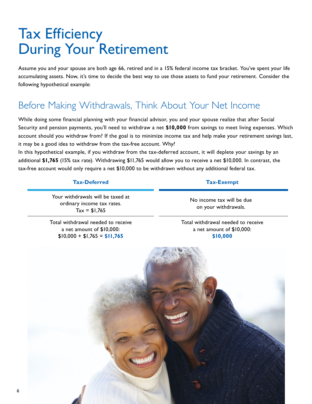# Tax Efficiency During Your Retirement

Assume you and your spouse are both age 66, retired and in a 15% federal income tax bracket. You've spent your life accumulating assets. Now, it's time to decide the best way to use those assets to fund your retirement. Consider the following hypothetical example:

### Before Making Withdrawals, Think About Your Net Income

While doing some financial planning with your financial advisor, you and your spouse realize that after Social Security and pension payments, you'll need to withdraw a net **\$10,000** from savings to meet living expenses. Which account should you withdraw from? If the goal is to minimize income tax and help make your retirement savings last, it may be a good idea to withdraw from the tax-free account. Why?

In this hypothetical example, if you withdraw from the tax-deferred account, it will deplete your savings by an additional **\$1,765** (15% tax rate). Withdrawing \$11,765 would allow you to receive a net \$10,000. In contrast, the tax-free account would only require a net \$10,000 to be withdrawn without any additional federal tax.

#### **Tax-Deferred Tax-Exempt**

Your withdrawals will be taxed at ordinary income tax rates.  $Tax = $1,765$ 

No income tax will be due on your withdrawals.

Total withdrawal needed to receive a net amount of \$10,000: \$10,000 + \$1,765 = **\$11,765**

Total withdrawal needed to receive a net amount of \$10,000: **\$10,000**

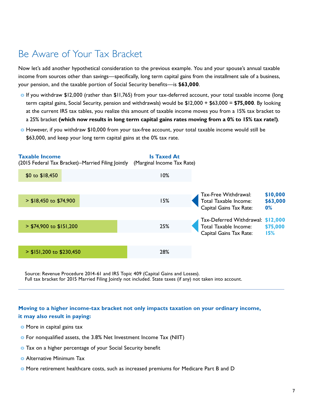### Be Aware of Your Tax Bracket

Now let's add another hypothetical consideration to the previous example. You and your spouse's annual taxable income from sources other than savings—specifically, long term capital gains from the installment sale of a business, your pension, and the taxable portion of Social Security benefits—is **\$63,000**.

- **o** If you withdraw \$12,000 (rather than \$11,765) from your tax-deferred account, your total taxable income (long term capital gains, Social Security, pension and withdrawals) would be \$12,000 + \$63,000 = **\$75,000**. By looking at the current IRS tax tables, you realize this amount of taxable income moves you from a 15% tax bracket to a 25% bracket **(which now results in long term capital gains rates moving from a 0% to 15% tax rate!)**.
- **o** However, if you withdraw \$10,000 from your tax-free account, your total taxable income would still be \$63,000, and keep your long term capital gains at the 0% tax rate.



Source: Revenue Procedure 2014-61 and IRS Topic 409 (Capital Gains and Losses). Full tax bracket for 2015 Married Filing Jointly not included. State taxes (if any) not taken into account.

#### **Moving to a higher income-tax bracket not only impacts taxation on your ordinary income, it may also result in paying:**

- **o** More in capital gains tax
- **o** For nonqualified assets, the 3.8% Net Investment Income Tax (NIIT)
- **o** Tax on a higher percentage of your Social Security benefit
- **o** Alternative Minimum Tax
- **o** More retirement healthcare costs, such as increased premiums for Medicare Part B and D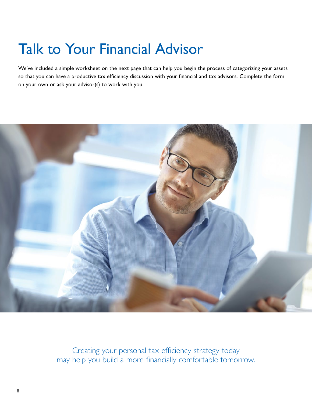# Talk to Your Financial Advisor

We've included a simple worksheet on the next page that can help you begin the process of categorizing your assets so that you can have a productive tax efficiency discussion with your financial and tax advisors. Complete the form on your own or ask your advisor(s) to work with you.



Creating your personal tax efficiency strategy today may help you build a more financially comfortable tomorrow.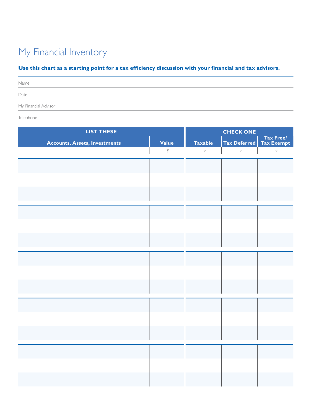### My Financial Inventory

### **Use this chart as a starting point for a tax efficiency discussion with your financial and tax advisors.**

| Name                                                                                                    |  |
|---------------------------------------------------------------------------------------------------------|--|
| Date                                                                                                    |  |
| My Financial Advisor<br>the contract of the contract of the contract of the contract of the contract of |  |

Telephone

| <b>Taxable</b><br><b>Accounts, Assets, Investments</b><br>Value<br>Tax Deferred<br>$\mathfrak{P}$<br>$\times$<br>$\times$ | Tax Free/<br>Tax Exempt<br>$\times$ |
|---------------------------------------------------------------------------------------------------------------------------|-------------------------------------|
|                                                                                                                           |                                     |
|                                                                                                                           |                                     |
|                                                                                                                           |                                     |
|                                                                                                                           |                                     |
|                                                                                                                           |                                     |
|                                                                                                                           |                                     |
|                                                                                                                           |                                     |
|                                                                                                                           |                                     |
|                                                                                                                           |                                     |
|                                                                                                                           |                                     |
|                                                                                                                           |                                     |
|                                                                                                                           |                                     |
|                                                                                                                           |                                     |
|                                                                                                                           |                                     |
|                                                                                                                           |                                     |
|                                                                                                                           |                                     |
|                                                                                                                           |                                     |
|                                                                                                                           |                                     |
|                                                                                                                           |                                     |
|                                                                                                                           |                                     |
|                                                                                                                           |                                     |